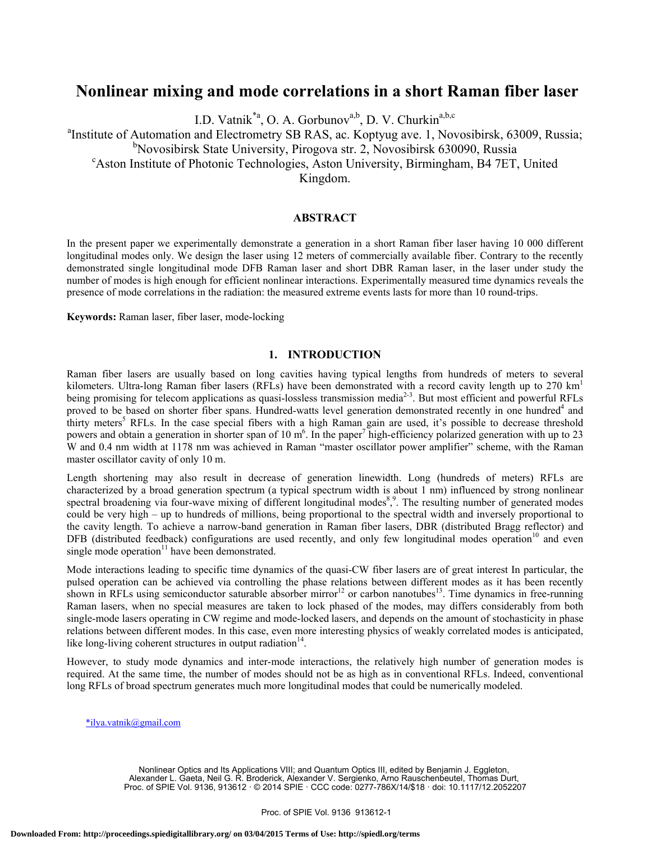# **Nonlinear mixing and mode correlations in a short Raman fiber laser**

I.D. Vatnik $a^*$ <sup>a</sup>, O. A. Gorbunov<sup>a,b</sup>, D. V. Churkin<sup>a,b,c</sup>

<sup>a</sup>Institute of Automation and Electrometry SB RAS, ac. Koptyug ave. 1, Novosibirsk, 63009, Russia;

<sup>b</sup>Novosibirsk State University, Pirogova str. 2, Novosibirsk 630090, Russia<br><sup>c</sup>Aston Institute of Photonia Technologies, Aston University, Pirmingham, PA 7ET

Aston Institute of Photonic Technologies, Aston University, Birmingham, B4 7ET, United

Kingdom.

## **ABSTRACT**

In the present paper we experimentally demonstrate a generation in a short Raman fiber laser having 10 000 different longitudinal modes only. We design the laser using 12 meters of commercially available fiber. Contrary to the recently demonstrated single longitudinal mode DFB Raman laser and short DBR Raman laser, in the laser under study the number of modes is high enough for efficient nonlinear interactions. Experimentally measured time dynamics reveals the presence of mode correlations in the radiation: the measured extreme events lasts for more than 10 round-trips.

**Keywords:** Raman laser, fiber laser, mode-locking

## **1. INTRODUCTION**

Raman fiber lasers are usually based on long cavities having typical lengths from hundreds of meters to several kilometers. Ultra-long Raman fiber lasers (RFLs) have been demonstrated with a record cavity length up to 270 km<sup>1</sup> being promising for telecom applications as quasi-lossless transmission media<sup>2-3</sup>. But most efficient and powerful RFLs proved to be based on shorter fiber spans. Hundred-watts level generation demonstrated recently in one hundred<sup>4</sup> and thirty meters<sup>5</sup> RFLs. In the case special fibers with a high Raman gain are used, it's possible to decrease threshold powers and obtain a generation in shorter span of 10  $m^6$ . In the paper<sup>7</sup> high-efficiency polarized generation with up to 23 W and 0.4 nm width at 1178 nm was achieved in Raman "master oscillator power amplifier" scheme, with the Raman master oscillator cavity of only 10 m.

Length shortening may also result in decrease of generation linewidth. Long (hundreds of meters) RFLs are characterized by a broad generation spectrum (a typical spectrum width is about 1 nm) influenced by strong nonlinear spectral broadening via four-wave mixing of different longitudinal modes<sup>8</sup>,<sup>9</sup>. The resulting number of generated modes could be very high – up to hundreds of millions, being proportional to the spectral width and inversely proportional to the cavity length. To achieve a narrow-band generation in Raman fiber lasers, DBR (distributed Bragg reflector) and DFB (distributed feedback) configurations are used recently, and only few longitudinal modes operation<sup>10</sup> and even single mode operation $11$  have been demonstrated.

Mode interactions leading to specific time dynamics of the quasi-CW fiber lasers are of great interest In particular, the pulsed operation can be achieved via controlling the phase relations between different modes as it has been recently shown in RFLs using semiconductor saturable absorber mirror<sup>12</sup> or carbon nanotubes<sup>13</sup>. Time dynamics in free-running Raman lasers, when no special measures are taken to lock phased of the modes, may differs considerably from both single-mode lasers operating in CW regime and mode-locked lasers, and depends on the amount of stochasticity in phase relations between different modes. In this case, even more interesting physics of weakly correlated modes is anticipated, like long-living coherent structures in output radiation $14$ .

However, to study mode dynamics and inter-mode interactions, the relatively high number of generation modes is required. At the same time, the number of modes should not be as high as in conventional RFLs. Indeed, conventional long RFLs of broad spectrum generates much more longitudinal modes that could be numerically modeled.

\*ilya.vatnik@gmail.com

Nonlinear Optics and Its Applications VIII; and Quantum Optics III, edited by Benjamin J. Eggleton, Alexander L. Gaeta, Neil G. R. Broderick, Alexander V. Sergienko, Arno Rauschenbeutel, Thomas Durt, Proc. of SPIE Vol. 9136, 913612 · © 2014 SPIE · CCC code: 0277-786X/14/\$18 · doi: 10.1117/12.2052207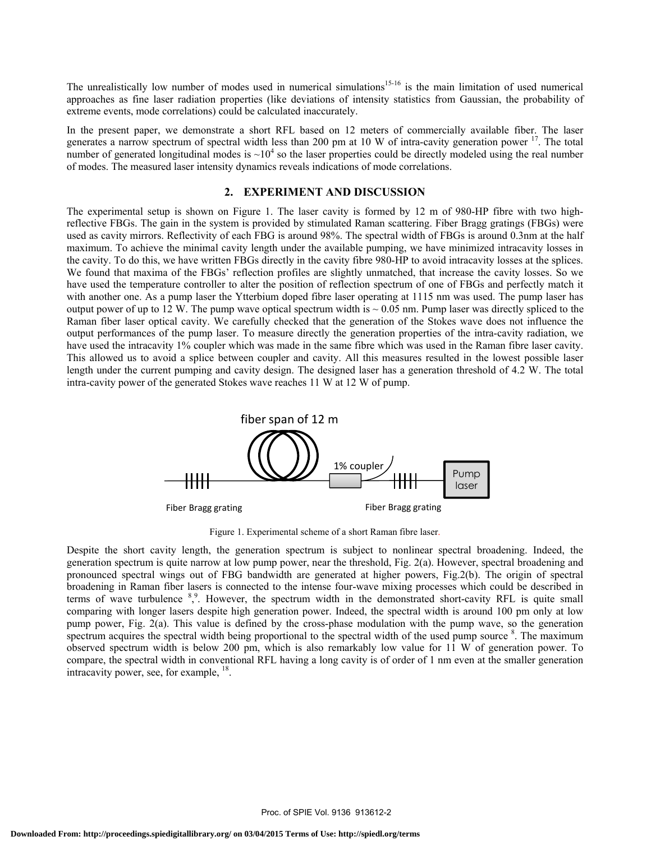The unrealistically low number of modes used in numerical simulations<sup>15-16</sup> is the main limitation of used numerical approaches as fine laser radiation properties (like deviations of intensity statistics from Gaussian, the probability of extreme events, mode correlations) could be calculated inaccurately.

In the present paper, we demonstrate a short RFL based on 12 meters of commercially available fiber. The laser generates a narrow spectrum of spectral width less than 200 pm at 10 W of intra-cavity generation power  $17$ . The total number of generated longitudinal modes is  $\sim 10^4$  so the laser properties could be directly modeled using the real number of modes. The measured laser intensity dynamics reveals indications of mode correlations.

### **2. EXPERIMENT AND DISCUSSION**

The experimental setup is shown on Figure 1. The laser cavity is formed by 12 m of 980-HP fibre with two highreflective FBGs. The gain in the system is provided by stimulated Raman scattering. Fiber Bragg gratings (FBGs) were used as cavity mirrors. Reflectivity of each FBG is around 98%. The spectral width of FBGs is around 0.3nm at the half maximum. To achieve the minimal cavity length under the available pumping, we have minimized intracavity losses in the cavity. To do this, we have written FBGs directly in the cavity fibre 980-HP to avoid intracavity losses at the splices. We found that maxima of the FBGs' reflection profiles are slightly unmatched, that increase the cavity losses. So we have used the temperature controller to alter the position of reflection spectrum of one of FBGs and perfectly match it with another one. As a pump laser the Ytterbium doped fibre laser operating at 1115 nm was used. The pump laser has output power of up to 12 W. The pump wave optical spectrum width is  $\sim 0.05$  nm. Pump laser was directly spliced to the Raman fiber laser optical cavity. We carefully checked that the generation of the Stokes wave does not influence the output performances of the pump laser. To measure directly the generation properties of the intra-cavity radiation, we have used the intracavity 1% coupler which was made in the same fibre which was used in the Raman fibre laser cavity. This allowed us to avoid a splice between coupler and cavity. All this measures resulted in the lowest possible laser length under the current pumping and cavity design. The designed laser has a generation threshold of 4.2 W. The total intra-cavity power of the generated Stokes wave reaches 11 W at 12 W of pump.



Figure 1. Experimental scheme of a short Raman fibre laser.

Despite the short cavity length, the generation spectrum is subject to nonlinear spectral broadening. Indeed, the generation spectrum is quite narrow at low pump power, near the threshold, Fig. 2(a). However, spectral broadening and pronounced spectral wings out of FBG bandwidth are generated at higher powers, Fig.2(b). The origin of spectral broadening in Raman fiber lasers is connected to the intense four-wave mixing processes which could be described in terms of wave turbulence <sup>8,9</sup>. However, the spectrum width in the demonstrated short-cavity RFL is quite small comparing with longer lasers despite high generation power. Indeed, the spectral width is around 100 pm only at low pump power, Fig. 2(a). This value is defined by the cross-phase modulation with the pump wave, so the generation spectrum acquires the spectral width being proportional to the spectral width of the used pump source <sup>8</sup>. The maximum observed spectrum width is below 200 pm, which is also remarkably low value for 11 W of generation power. To compare, the spectral width in conventional RFL having a long cavity is of order of 1 nm even at the smaller generation intracavity power, see, for example, 18.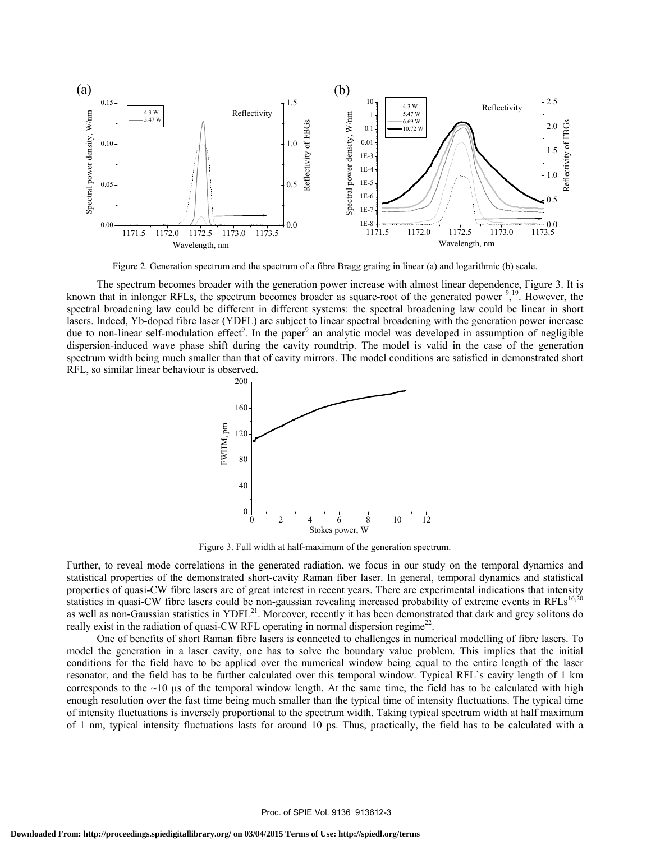

Figure 2. Generation spectrum and the spectrum of a fibre Bragg grating in linear (a) and logarithmic (b) scale.

The spectrum becomes broader with the generation power increase with almost linear dependence, Figure 3. It is known that in inlonger RFLs, the spectrum becomes broader as square-root of the generated power  $\frac{9}{2}$ . However, the spectral broadening law could be different in different systems: the spectral broadening law could be linear in short lasers. Indeed, Yb-doped fibre laser (YDFL) are subject to linear spectral broadening with the generation power increase due to non-linear self-modulation effect<sup>9</sup>. In the paper<sup>9</sup> an analytic model was developed in assumption of negligible dispersion-induced wave phase shift during the cavity roundtrip. The model is valid in the case of the generation spectrum width being much smaller than that of cavity mirrors. The model conditions are satisfied in demonstrated short RFL, so similar linear behaviour is observed.



Figure 3. Full width at half-maximum of the generation spectrum.

Further, to reveal mode correlations in the generated radiation, we focus in our study on the temporal dynamics and statistical properties of the demonstrated short-cavity Raman fiber laser. In general, temporal dynamics and statistical properties of quasi-CW fibre lasers are of great interest in recent years. There are experimental indications that intensity statistics in quasi-CW fibre lasers could be non-gaussian revealing increased probability of extreme events in RFLs $^{16,20}$ as well as non-Gaussian statistics in YDFL<sup>21</sup>. Moreover, recently it has been demonstrated that dark and grey solitons do really exist in the radiation of quasi-CW RFL operating in normal dispersion regime<sup>22</sup>.

One of benefits of short Raman fibre lasers is connected to challenges in numerical modelling of fibre lasers. To model the generation in a laser cavity, one has to solve the boundary value problem. This implies that the initial conditions for the field have to be applied over the numerical window being equal to the entire length of the laser resonator, and the field has to be further calculated over this temporal window. Typical RFL`s cavity length of 1 km corresponds to the  $~10$  μs of the temporal window length. At the same time, the field has to be calculated with high enough resolution over the fast time being much smaller than the typical time of intensity fluctuations. The typical time of intensity fluctuations is inversely proportional to the spectrum width. Taking typical spectrum width at half maximum of 1 nm, typical intensity fluctuations lasts for around 10 ps. Thus, practically, the field has to be calculated with a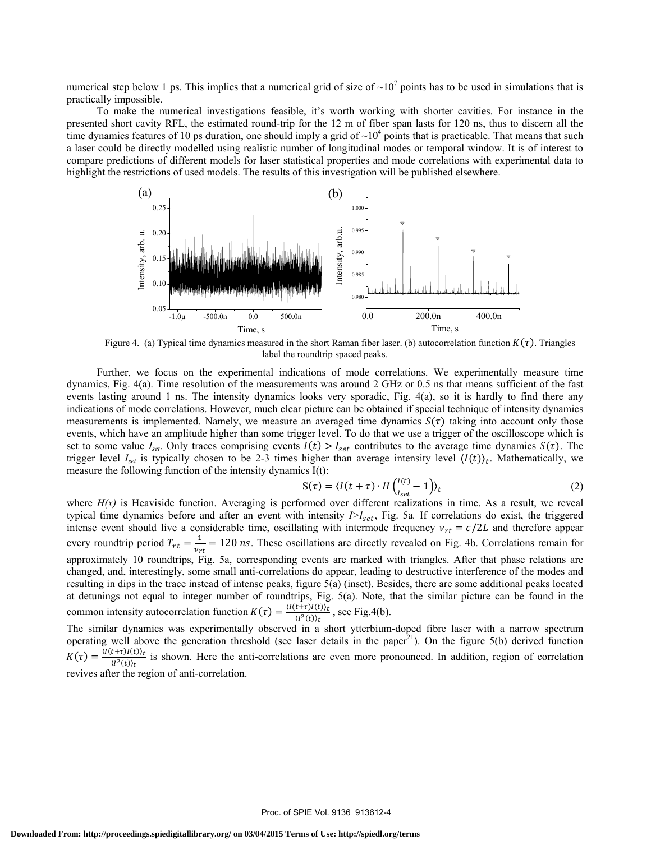numerical step below 1 ps. This implies that a numerical grid of size of  $\sim 10^7$  points has to be used in simulations that is practically impossible.

To make the numerical investigations feasible, it's worth working with shorter cavities. For instance in the presented short cavity RFL, the estimated round-trip for the 12 m of fiber span lasts for 120 ns, thus to discern all the time dynamics features of 10 ps duration, one should imply a grid of  $\sim 10^4$  points that is practicable. That means that such a laser could be directly modelled using realistic number of longitudinal modes or temporal window. It is of interest to compare predictions of different models for laser statistical properties and mode correlations with experimental data to highlight the restrictions of used models. The results of this investigation will be published elsewhere.



Figure 4. (a) Typical time dynamics measured in the short Raman fiber laser. (b) autocorrelation function  $K(\tau)$ . Triangles label the roundtrip spaced peaks.

Further, we focus on the experimental indications of mode correlations. We experimentally measure time dynamics, Fig. 4(a). Time resolution of the measurements was around 2 GHz or 0.5 ns that means sufficient of the fast events lasting around 1 ns. The intensity dynamics looks very sporadic, Fig. 4(a), so it is hardly to find there any indications of mode correlations. However, much clear picture can be obtained if special technique of intensity dynamics measurements is implemented. Namely, we measure an averaged time dynamics  $S(\tau)$  taking into account only those events, which have an amplitude higher than some trigger level. To do that we use a trigger of the oscilloscope which is set to some value  $I_{set}$ . Only traces comprising events  $I(t) > I_{set}$  contributes to the average time dynamics  $S(\tau)$ . The trigger level  $I_{set}$  is typically chosen to be 2-3 times higher than average intensity level  $\langle I(t) \rangle_t$ . Mathematically, we measure the following function of the intensity dynamics I(t):

$$
S(\tau) = \langle I(t+\tau) \cdot H \left( \frac{I(t)}{I_{set}} - 1 \right) \rangle_t \tag{2}
$$

where  $H(x)$  is Heaviside function. Averaging is performed over different realizations in time. As a result, we reveal typical time dynamics before and after an event with intensity  $I > I<sub>set</sub>$ , Fig. 5a. If correlations do exist, the triggered intense event should live a considerable time, oscillating with intermode frequency  $v_{rt} = c/2L$  and therefore appear every roundtrip period  $T_{rt} = \frac{1}{v_{rt}} = 120 \text{ ns}$ . These oscillations are directly revealed on Fig. 4b. Correlations remain for approximately 10 roundtrips, Fig. 5a, corresponding events are marked with triangles. After that phase relations are changed, and, interestingly, some small anti-correlations do appear, leading to destructive interference of the modes and resulting in dips in the trace instead of intense peaks, figure 5(a) (inset). Besides, there are some additional peaks located at detunings not equal to integer number of roundtrips, Fig. 5(a). Note, that the similar picture can be found in the common intensity autocorrelation function  $K(\tau) = \frac{\langle I(t+\tau)I(t)\rangle_t}{\langle I^2(t)\rangle_t}$ , see Fig.4(b).

The similar dynamics was experimentally observed in a short ytterbium-doped fibre laser with a narrow spectrum operating well above the generation threshold (see laser details in the paper<sup>21</sup>). On the figure 5(b) derived function  $K(\tau) = \frac{\langle I(t+\tau)I(t)\rangle_t}{\langle I^2(t)\rangle_t}$  is shown. Here the anti-correlations are even more pronounced. In addition, region of correlation revives after the region of anti-correlation.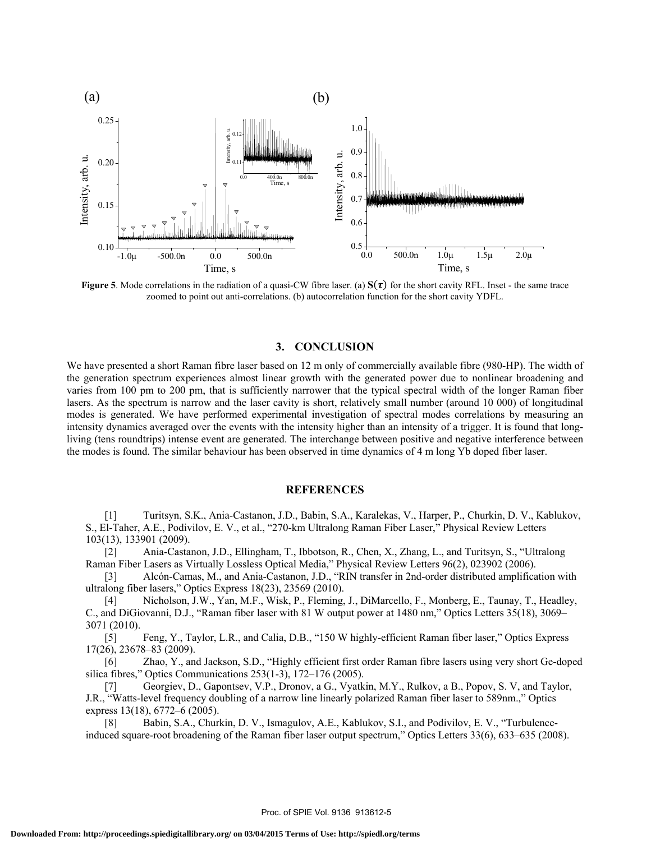

**Figure 5**. Mode correlations in the radiation of a quasi-CW fibre laser. (a)  $S(\tau)$  for the short cavity RFL. Inset - the same trace zoomed to point out anti-correlations. (b) autocorrelation function for the short cavity YDFL.

### **3. CONCLUSION**

We have presented a short Raman fibre laser based on 12 m only of commercially available fibre (980-HP). The width of the generation spectrum experiences almost linear growth with the generated power due to nonlinear broadening and varies from 100 pm to 200 pm, that is sufficiently narrower that the typical spectral width of the longer Raman fiber lasers. As the spectrum is narrow and the laser cavity is short, relatively small number (around 10 000) of longitudinal modes is generated. We have performed experimental investigation of spectral modes correlations by measuring an intensity dynamics averaged over the events with the intensity higher than an intensity of a trigger. It is found that longliving (tens roundtrips) intense event are generated. The interchange between positive and negative interference between the modes is found. The similar behaviour has been observed in time dynamics of 4 m long Yb doped fiber laser.

#### **REFERENCES**

[1] Turitsyn, S.K., Ania-Castanon, J.D., Babin, S.A., Karalekas, V., Harper, P., Churkin, D. V., Kablukov, S., El-Taher, A.E., Podivilov, E. V., et al., "270-km Ultralong Raman Fiber Laser," Physical Review Letters 103(13), 133901 (2009).

[2] Ania-Castanon, J.D., Ellingham, T., Ibbotson, R., Chen, X., Zhang, L., and Turitsyn, S., "Ultralong Raman Fiber Lasers as Virtually Lossless Optical Media," Physical Review Letters 96(2), 023902 (2006).

[3] Alcón-Camas, M., and Ania-Castanon, J.D., "RIN transfer in 2nd-order distributed amplification with ultralong fiber lasers," Optics Express 18(23), 23569 (2010).

[4] Nicholson, J.W., Yan, M.F., Wisk, P., Fleming, J., DiMarcello, F., Monberg, E., Taunay, T., Headley, C., and DiGiovanni, D.J., "Raman fiber laser with 81 W output power at 1480 nm," Optics Letters 35(18), 3069– 3071 (2010).

[5] Feng, Y., Taylor, L.R., and Calia, D.B., "150 W highly-efficient Raman fiber laser," Optics Express 17(26), 23678–83 (2009).

[6] Zhao, Y., and Jackson, S.D., "Highly efficient first order Raman fibre lasers using very short Ge-doped silica fibres," Optics Communications 253(1-3), 172–176 (2005).

[7] Georgiev, D., Gapontsev, V.P., Dronov, a G., Vyatkin, M.Y., Rulkov, a B., Popov, S. V, and Taylor, J.R., "Watts-level frequency doubling of a narrow line linearly polarized Raman fiber laser to 589nm.," Optics express 13(18), 6772–6 (2005).

[8] Babin, S.A., Churkin, D. V., Ismagulov, A.E., Kablukov, S.I., and Podivilov, E. V., "Turbulenceinduced square-root broadening of the Raman fiber laser output spectrum," Optics Letters 33(6), 633–635 (2008).